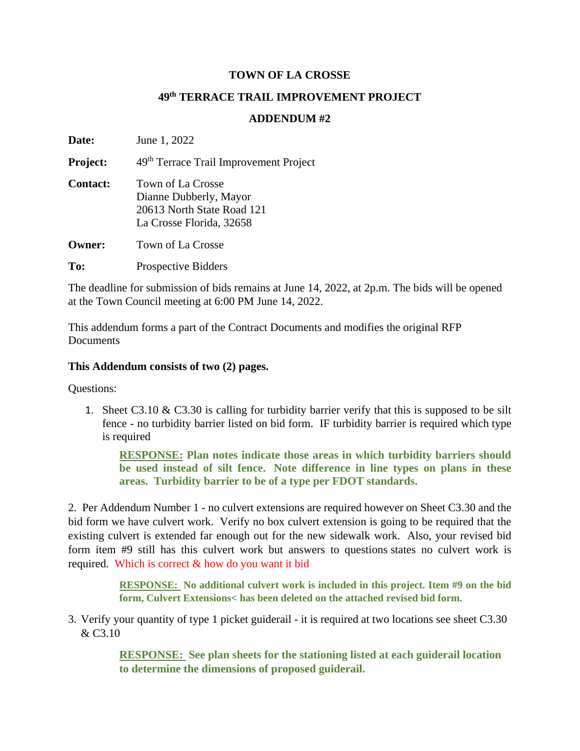## **TOWN OF LA CROSSE**

## **49th TERRACE TRAIL IMPROVEMENT PROJECT**

## **ADDENDUM #2**

**Date:** June 1, 2022 **Project:** 49<sup>th</sup> Terrace Trail Improvement Project **Contact:** Town of La Crosse Dianne Dubberly, Mayor 20613 North State Road 121 La Crosse Florida, 32658 **Owner:** Town of La Crosse To: Prospective Bidders

The deadline for submission of bids remains at June 14, 2022, at 2p.m. The bids will be opened at the Town Council meeting at 6:00 PM June 14, 2022.

This addendum forms a part of the Contract Documents and modifies the original RFP **Documents** 

## **This Addendum consists of two (2) pages.**

Questions:

1. Sheet C3.10  $\&$  C3.30 is calling for turbidity barrier verify that this is supposed to be silt fence - no turbidity barrier listed on bid form. IF turbidity barrier is required which type is required

**RESPONSE: Plan notes indicate those areas in which turbidity barriers should be used instead of silt fence. Note difference in line types on plans in these areas. Turbidity barrier to be of a type per FDOT standards.**

2. Per Addendum Number 1 - no culvert extensions are required however on Sheet C3.30 and the bid form we have culvert work. Verify no box culvert extension is going to be required that the existing culvert is extended far enough out for the new sidewalk work. Also, your revised bid form item #9 still has this culvert work but answers to questions states no culvert work is required. Which is correct & how do you want it bid

> **RESPONSE: No additional culvert work is included in this project. Item #9 on the bid form, Culvert Extensions< has been deleted on the attached revised bid form.**

3. Verify your quantity of type 1 picket guiderail - it is required at two locations see sheet C3.30 & C3.10

> **RESPONSE: See plan sheets for the stationing listed at each guiderail location to determine the dimensions of proposed guiderail.**